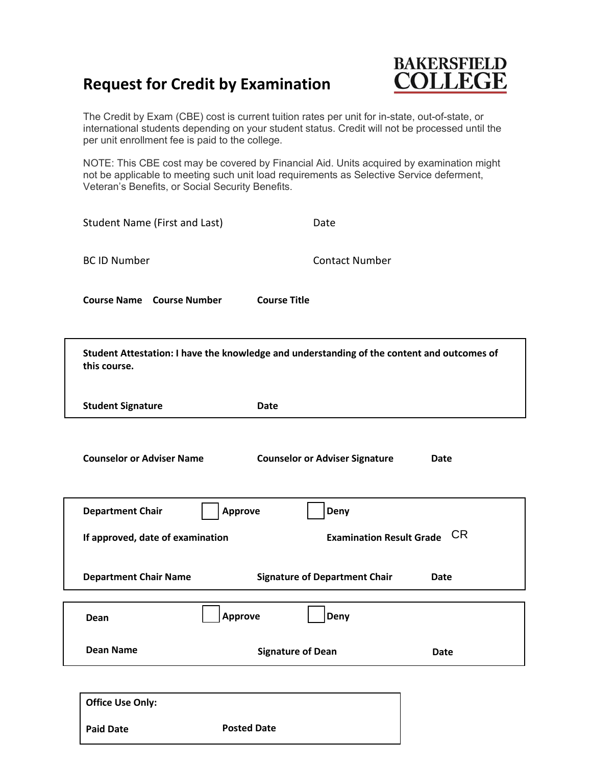## **Request for Credit by Examination**



The Credit by Exam (CBE) cost is current tuition rates per unit for in-state, out-of-state, or international students depending on your student status. Credit will not be processed until the per unit enrollment fee is paid to the college.

 Veteran's Benefits, or Social Security Benefits. NOTE: This CBE cost may be covered by Financial Aid. Units acquired by examination might not be applicable to meeting such unit load requirements as Selective Service deferment,

| Student Name (First and Last)                                                                              | Date                                  |      |
|------------------------------------------------------------------------------------------------------------|---------------------------------------|------|
| <b>BC ID Number</b>                                                                                        | <b>Contact Number</b>                 |      |
| <b>Course Name Course Number</b>                                                                           | <b>Course Title</b>                   |      |
| Student Attestation: I have the knowledge and understanding of the content and outcomes of<br>this course. |                                       |      |
| <b>Student Signature</b>                                                                                   | <b>Date</b>                           |      |
| <b>Counselor or Adviser Name</b>                                                                           | <b>Counselor or Adviser Signature</b> | Date |
| <b>Department Chair</b>                                                                                    | <b>Approve</b><br>Deny                |      |
| If approved, date of examination                                                                           | <b>Examination Result Grade CR</b>    |      |
| <b>Department Chair Name</b>                                                                               | <b>Signature of Department Chair</b>  | Date |
| Dean                                                                                                       | <b>Approve</b><br>Deny                |      |
| <b>Dean Name</b>                                                                                           | <b>Signature of Dean</b>              | Date |
|                                                                                                            |                                       |      |

| <b>Office Use Only:</b> |                    |
|-------------------------|--------------------|
| <b>Paid Date</b>        | <b>Posted Date</b> |